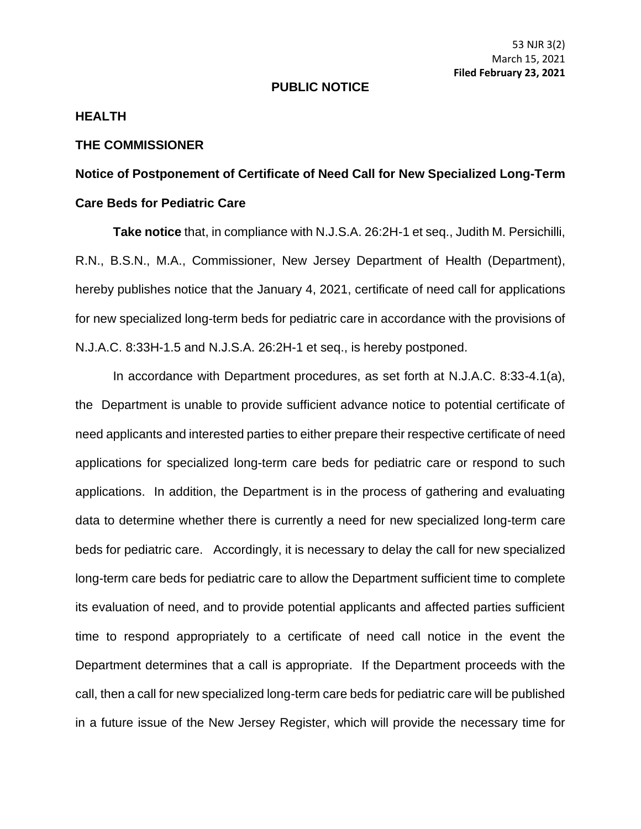## **PUBLIC NOTICE**

## **HEALTH**

## **THE COMMISSIONER**

## **Notice of Postponement of Certificate of Need Call for New Specialized Long-Term Care Beds for Pediatric Care**

**Take notice** that, in compliance with N.J.S.A. 26:2H-1 et seq., Judith M. Persichilli, R.N., B.S.N., M.A., Commissioner, New Jersey Department of Health (Department), hereby publishes notice that the January 4, 2021, certificate of need call for applications for new specialized long-term beds for pediatric care in accordance with the provisions of N.J.A.C. 8:33H-1.5 and N.J.S.A. 26:2H-1 et seq., is hereby postponed.

In accordance with Department procedures, as set forth at N.J.A.C. 8:33-4.1(a), the Department is unable to provide sufficient advance notice to potential certificate of need applicants and interested parties to either prepare their respective certificate of need applications for specialized long-term care beds for pediatric care or respond to such applications. In addition, the Department is in the process of gathering and evaluating data to determine whether there is currently a need for new specialized long-term care beds for pediatric care. Accordingly, it is necessary to delay the call for new specialized long-term care beds for pediatric care to allow the Department sufficient time to complete its evaluation of need, and to provide potential applicants and affected parties sufficient time to respond appropriately to a certificate of need call notice in the event the Department determines that a call is appropriate. If the Department proceeds with the call, then a call for new specialized long-term care beds for pediatric care will be published in a future issue of the New Jersey Register, which will provide the necessary time for